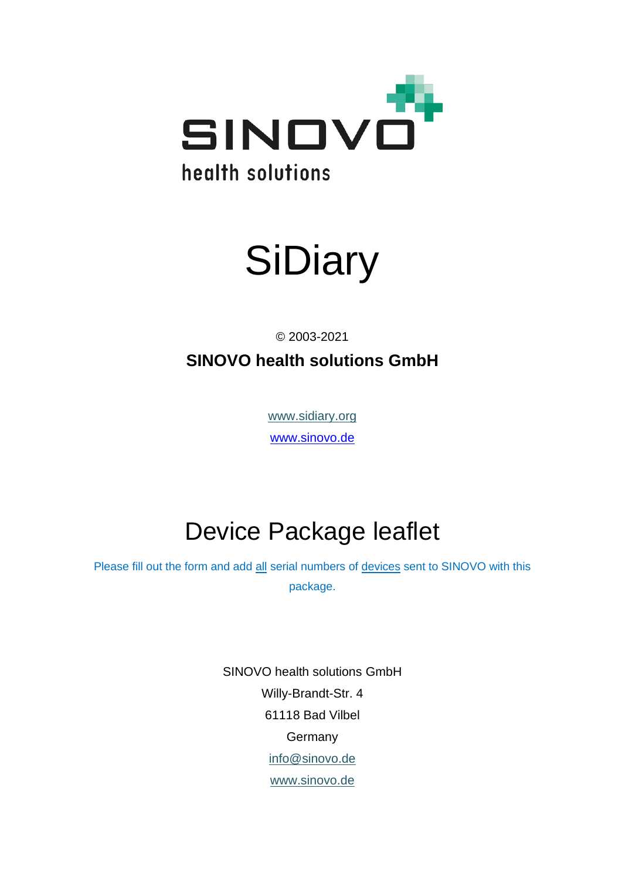



© 2003-2021

**SINOVO health solutions GmbH**

[www.sidiary.org](https://www.sidiary.org/) [www.sinovo.de](https://sinovo.de/de/)

## Device Package leaflet

Please fill out the form and add all serial numbers of devices sent to SINOVO with this package.

> SINOVO health solutions GmbH Willy-Brandt-Str. 4 61118 Bad Vilbel **Germany** [info@sinovo.de](mailto:info@sinovo.de) [www.sinovo.de](https://sinovo.de/de/)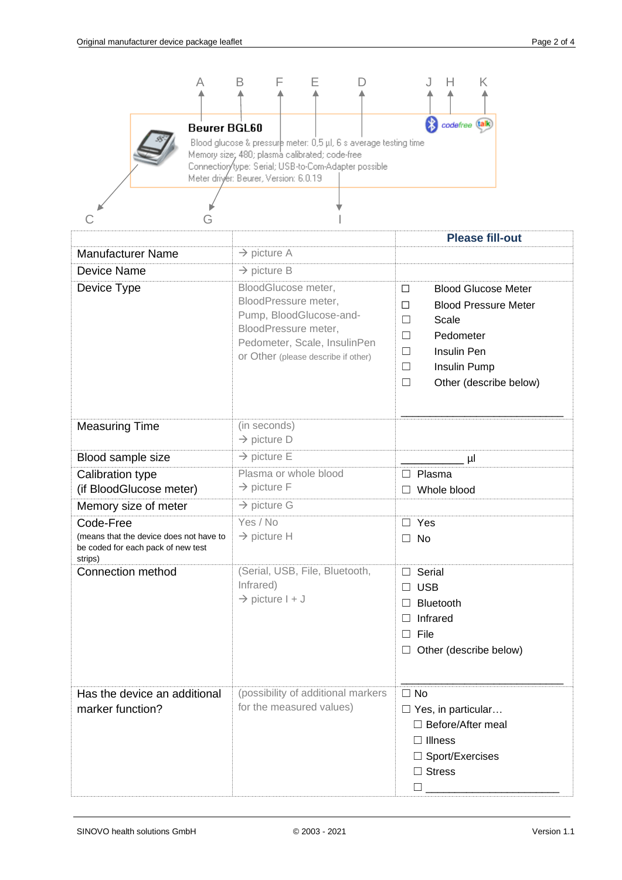| Е<br>B<br>Н<br>Α<br>F<br>Κ<br>codefree (talk)<br><b>Beurer BGL60</b><br>Blood glucose & pressure meter: 0,5 µl, 6 s average testing time<br>Memory size; 480; plasma calibrated; code-free<br>Connection/type: Serial; USB-to-Com-Adapter possible<br>Meter driver: Beurer, Version: 6.0.19 |                                                                                                                                                |                                                                                                                                                               |
|---------------------------------------------------------------------------------------------------------------------------------------------------------------------------------------------------------------------------------------------------------------------------------------------|------------------------------------------------------------------------------------------------------------------------------------------------|---------------------------------------------------------------------------------------------------------------------------------------------------------------|
| G                                                                                                                                                                                                                                                                                           |                                                                                                                                                |                                                                                                                                                               |
| <b>Manufacturer Name</b>                                                                                                                                                                                                                                                                    | $\rightarrow$ picture A                                                                                                                        | <b>Please fill-out</b>                                                                                                                                        |
| <b>Device Name</b>                                                                                                                                                                                                                                                                          | $\rightarrow$ picture B                                                                                                                        |                                                                                                                                                               |
| Device Type                                                                                                                                                                                                                                                                                 | BloodGlucose meter,                                                                                                                            | <b>Blood Glucose Meter</b><br>□                                                                                                                               |
|                                                                                                                                                                                                                                                                                             | BloodPressure meter,<br>Pump, BloodGlucose-and-<br>BloodPressure meter,<br>Pedometer, Scale, InsulinPen<br>or Other (please describe if other) | <b>Blood Pressure Meter</b><br>□<br>Scale<br>$\Box$<br>Pedometer<br>$\perp$<br>Insulin Pen<br>$\Box$<br>Insulin Pump<br>ш<br>Other (describe below)<br>$\Box$ |
| <b>Measuring Time</b>                                                                                                                                                                                                                                                                       | (in seconds)<br>$\rightarrow$ picture D                                                                                                        |                                                                                                                                                               |
| Blood sample size                                                                                                                                                                                                                                                                           | $\rightarrow$ picture E                                                                                                                        | μl                                                                                                                                                            |
| Calibration type                                                                                                                                                                                                                                                                            | Plasma or whole blood                                                                                                                          | Plasma                                                                                                                                                        |
| (if BloodGlucose meter)                                                                                                                                                                                                                                                                     | $\rightarrow$ picture F                                                                                                                        | Whole blood                                                                                                                                                   |
| Memory size of meter                                                                                                                                                                                                                                                                        | $\rightarrow$ picture G                                                                                                                        |                                                                                                                                                               |
| Code-Free<br>(means that the device does not have to<br>be coded for each pack of new test<br>strips)                                                                                                                                                                                       | Yes / No<br>$\rightarrow$ picture H                                                                                                            | Yes<br>No<br>$\mathsf{L}$                                                                                                                                     |
| Connection method                                                                                                                                                                                                                                                                           | (Serial, USB, File, Bluetooth,<br>Infrared)<br>$\rightarrow$ picture I + J                                                                     | Serial<br>$\Box$<br><b>USB</b><br>ш<br><b>Bluetooth</b><br>$\perp$<br>Infrared<br>File<br>□<br>Other (describe below)<br>ш                                    |
| Has the device an additional<br>marker function?                                                                                                                                                                                                                                            | (possibility of additional markers<br>for the measured values)                                                                                 | $\Box$ No<br>$\Box$ Yes, in particular<br>$\Box$ Before/After meal<br>$\Box$ Illness<br>$\Box$ Sport/Exercises<br>$\Box$ Stress                               |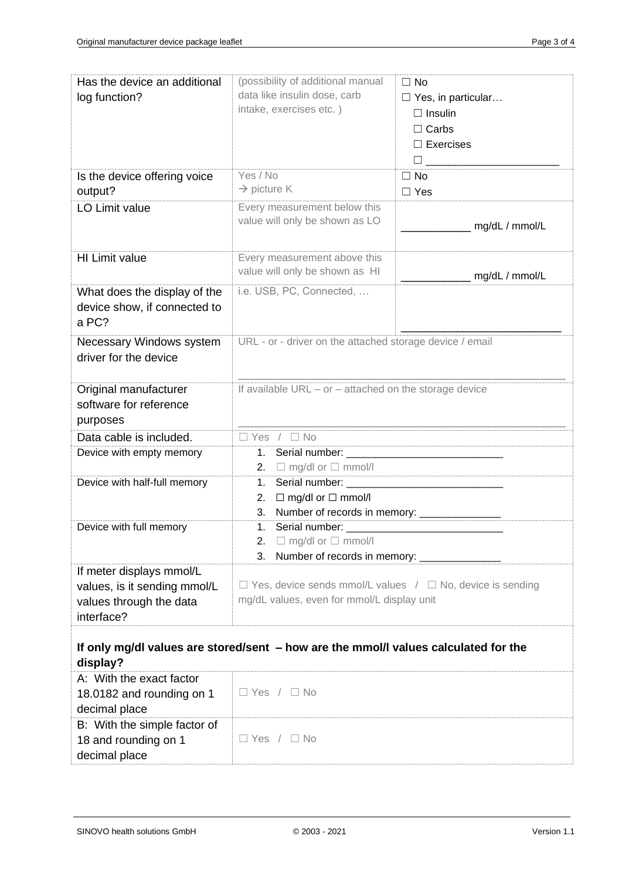| Has the device an additional<br>log function?                                                     | (possibility of additional manual<br>data like insulin dose, carb<br>intake, exercises etc.)                        | $\Box$ No<br>$\Box$ Yes, in particular<br>$\Box$ Insulin<br>$\Box$ Carbs<br>$\Box$ Exercises |
|---------------------------------------------------------------------------------------------------|---------------------------------------------------------------------------------------------------------------------|----------------------------------------------------------------------------------------------|
| Is the device offering voice<br>output?                                                           | Yes / No<br>$\rightarrow$ picture K                                                                                 | $\Box$ No<br>$\Box$ Yes                                                                      |
| LO Limit value                                                                                    | Every measurement below this<br>value will only be shown as LO                                                      | ___________ mg/dL / mmol/L                                                                   |
| <b>HI Limit value</b>                                                                             | Every measurement above this<br>value will only be shown as HI                                                      | __ mg/dL / mmol/L                                                                            |
| What does the display of the<br>device show, if connected to<br>a PC?                             | i.e. USB, PC, Connected,                                                                                            |                                                                                              |
| Necessary Windows system<br>driver for the device                                                 | URL - or - driver on the attached storage device / email                                                            |                                                                                              |
| Original manufacturer<br>software for reference<br>purposes                                       | If available URL - or - attached on the storage device                                                              |                                                                                              |
| Data cable is included.                                                                           | $\Box$ Yes / $\Box$ No                                                                                              |                                                                                              |
| Device with empty memory                                                                          | 2. $\Box$ mg/dl or $\Box$ mmol/l                                                                                    |                                                                                              |
| Device with half-full memory                                                                      | 1.<br>$\Box$ mg/dl or $\Box$ mmol/l<br>2.<br>Number of records in memory: ________________<br>3.                    |                                                                                              |
| Device with full memory                                                                           | 2. $\Box$ mg/dl or $\Box$ mmol/l<br>Number of records in memory:<br>3.                                              |                                                                                              |
| If meter displays mmol/L<br>values, is it sending mmol/L<br>values through the data<br>interface? | $\Box$ Yes, device sends mmol/L values / $\Box$ No, device is sending<br>mg/dL values, even for mmol/L display unit |                                                                                              |
| If only mg/dl values are stored/sent - how are the mmol/l values calculated for the<br>display?   |                                                                                                                     |                                                                                              |
| A: With the exact factor<br>18.0182 and rounding on 1<br>decimal place                            | $\Box$ Yes / $\Box$ No                                                                                              |                                                                                              |
| B: With the simple factor of<br>18 and rounding on 1<br>decimal place                             | $\Box$ Yes / $\Box$ No                                                                                              |                                                                                              |